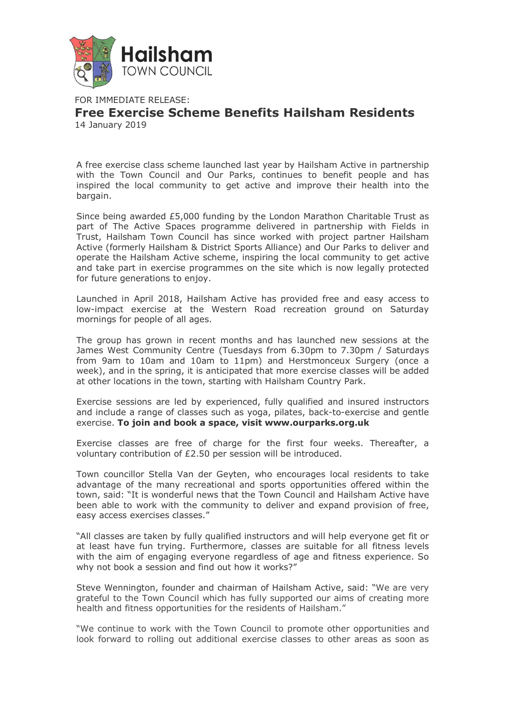

FOR IMMEDIATE RELEASE: **Free Exercise Scheme Benefits Hailsham Residents** 14 January 2019

A free exercise class scheme launched last year by Hailsham Active in partnership with the Town Council and Our Parks, continues to benefit people and has inspired the local community to get active and improve their health into the bargain.

Since being awarded £5,000 funding by the London Marathon Charitable Trust as part of The Active Spaces programme delivered in partnership with Fields in Trust, Hailsham Town Council has since worked with project partner Hailsham Active (formerly Hailsham & District Sports Alliance) and Our Parks to deliver and operate the Hailsham Active scheme, inspiring the local community to get active and take part in exercise programmes on the site which is now legally protected for future generations to enjoy.

Launched in April 2018, Hailsham Active has provided free and easy access to low-impact exercise at the Western Road recreation ground on Saturday mornings for people of all ages.

The group has grown in recent months and has launched new sessions at the James West Community Centre (Tuesdays from 6.30pm to 7.30pm / Saturdays from 9am to 10am and 10am to 11pm) and Herstmonceux Surgery (once a week), and in the spring, it is anticipated that more exercise classes will be added at other locations in the town, starting with Hailsham Country Park.

Exercise sessions are led by experienced, fully qualified and insured instructors and include a range of classes such as yoga, pilates, back-to-exercise and gentle exercise. **To join and book a space, visit www.ourparks.org.uk**

Exercise classes are free of charge for the first four weeks. Thereafter, a voluntary contribution of £2.50 per session will be introduced.

Town councillor Stella Van der Geyten, who encourages local residents to take advantage of the many recreational and sports opportunities offered within the town, said: "It is wonderful news that the Town Council and Hailsham Active have been able to work with the community to deliver and expand provision of free, easy access exercises classes."

"All classes are taken by fully qualified instructors and will help everyone get fit or at least have fun trying. Furthermore, classes are suitable for all fitness levels with the aim of engaging everyone regardless of age and fitness experience. So why not book a session and find out how it works?"

Steve Wennington, founder and chairman of Hailsham Active, said: "We are very grateful to the Town Council which has fully supported our aims of creating more health and fitness opportunities for the residents of Hailsham."

"We continue to work with the Town Council to promote other opportunities and look forward to rolling out additional exercise classes to other areas as soon as